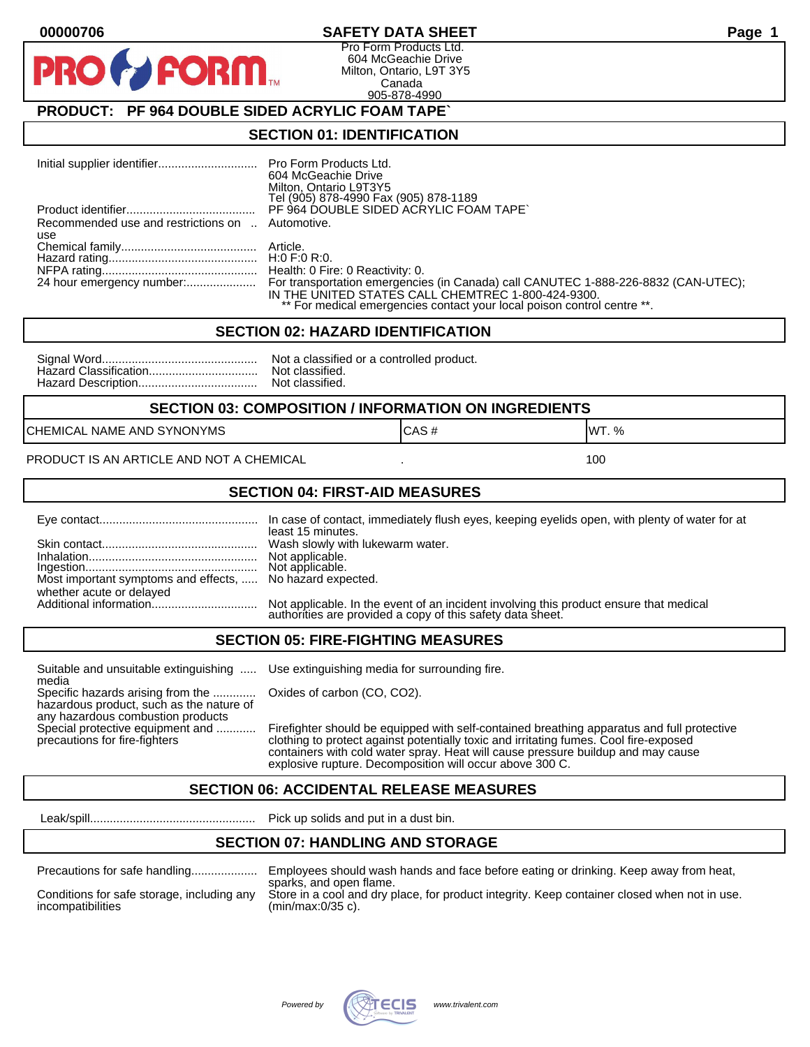### **00000706 SAFETY DATA SHEET Page 1**

Pro Form Products Ltd. 604 McGeachie Drive Milton, Ontario, L9T 3Y5 Canada 905-878-4990

## **PRODUCT: PF 964 DOUBLE SIDED ACRYLIC FOAM TAPE`**

FORM.

#### **SECTION 01: IDENTIFICATION**

|                                                         | 604 McGeachie Drive<br>Milton, Ontario L9T3Y5<br>Tel (905) 878-4990 Fax (905) 878-1189                                                                                                                                                        |
|---------------------------------------------------------|-----------------------------------------------------------------------------------------------------------------------------------------------------------------------------------------------------------------------------------------------|
|                                                         | PF 964 DOUBLE SIDED ACRYLIC FOAM TAPE                                                                                                                                                                                                         |
| Recommended use and restrictions on  Automotive.<br>use |                                                                                                                                                                                                                                               |
|                                                         |                                                                                                                                                                                                                                               |
|                                                         |                                                                                                                                                                                                                                               |
|                                                         | 24 hour emergency number: For transportation emergencies (in Canada) call CANUTEC 1-888-226-8832 (CAN-UTEC);<br>IN THE UNITED STATES CALL CHEMTREC 1-800-424-9300.<br>** For medical emergencies contact your local poison control centre **. |

#### **SECTION 02: HAZARD IDENTIFICATION**

| Nc             |
|----------------|
| N <sub>C</sub> |
| Nc             |

ot a classified or a controlled product. ot classified. ot classified.

#### **SECTION 03: COMPOSITION / INFORMATION ON INGREDIENTS**

CHEMICAL NAME AND SYNONYMS GAS AND CAS # CAS # WT. %

PRODUCT IS AN ARTICLE AND NOT A CHEMICAL **AND THE SET AND A SET ALL ASSAULT** 100

#### **SECTION 04: FIRST-AID MEASURES**

|                                                                                       | least 15 minutes.                                                                                                                                    |
|---------------------------------------------------------------------------------------|------------------------------------------------------------------------------------------------------------------------------------------------------|
|                                                                                       |                                                                                                                                                      |
| Most important symptoms and effects,  No hazard expected.<br>whether acute or delayed |                                                                                                                                                      |
|                                                                                       | Not applicable. In the event of an incident involving this product ensure that medical<br>authorities are provided a copy of this safety data sheet. |

#### **SECTION 05: FIRE-FIGHTING MEASURES**

Suitable and unsuitable extinguishing ..... Use extinguishing media for surrounding fire. media

Specific hazards arising from the ............. Oxides of carbon (CO, CO2). hazardous product, such as the nature of any hazardous combustion products

Special protective equipment and ............ Firefighter should be equipped with self-contained breathing apparatus and full protective<br>precautions for fire-fighters continent clothing to protect against potentially toxic clothing to protect against potentially toxic and irritating fumes. Cool fire-exposed containers with cold water spray. Heat will cause pressure buildup and may cause explosive rupture. Decomposition will occur above 300 C.

## **SECTION 06: ACCIDENTAL RELEASE MEASURES**

Leak/spill.................................................. Pick up solids and put in a dust bin.

#### **SECTION 07: HANDLING AND STORAGE**

| Precautions for safe handling |
|-------------------------------|
|                               |

Precautions for safe handling.................... Employees should wash hands and face before eating or drinking. Keep away from heat, sparks, and open flame. Conditions for safe storage, including any Store in a cool and dry place, for product integrity. Keep container closed when not in use.<br>incompatibilities (min/max:0/35 c).  $(min/max:0/35 c)$ .

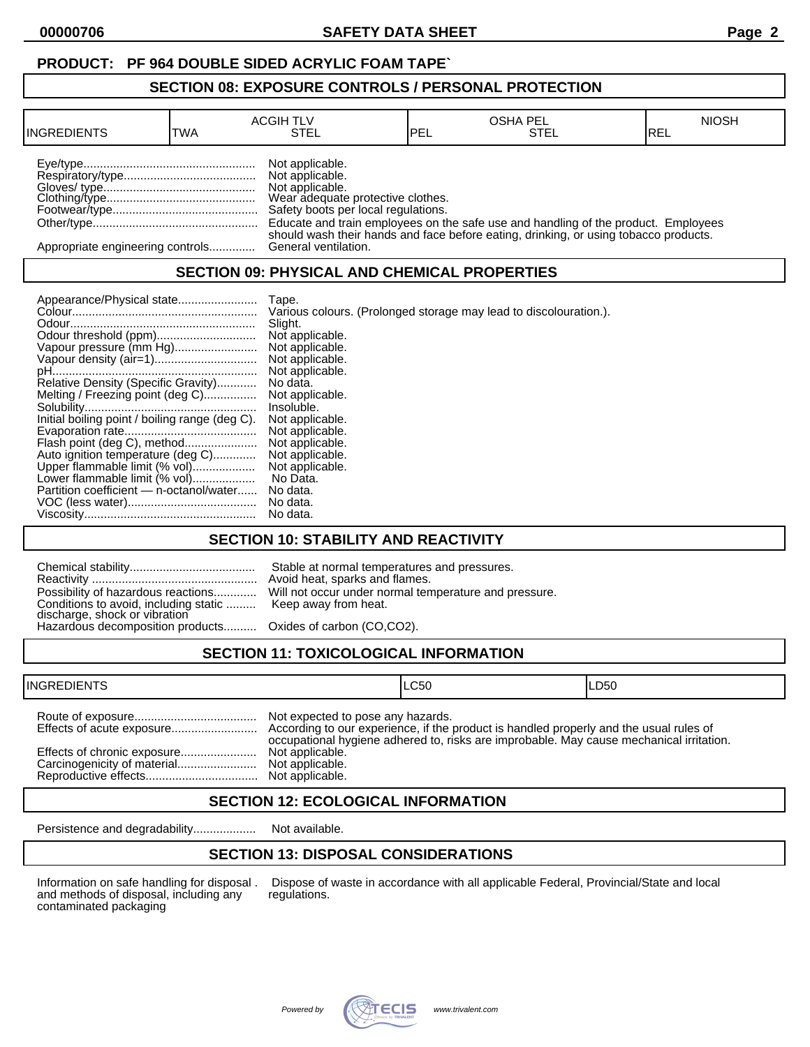## **PRODUCT: PF 964 DOUBLE SIDED ACRYLIC FOAM TAPE`**

### **SECTION 08: EXPOSURE CONTROLS / PERSONAL PROTECTION**

| <b>INGREDIENTS</b>               | TWA | <b>ACGIH TLV</b><br>STEL                                                                                                          | <b>IPEL</b> | <b>OSHA PEL</b><br>STEL                                                              | <b>NIOSH</b><br>IREL |
|----------------------------------|-----|-----------------------------------------------------------------------------------------------------------------------------------|-------------|--------------------------------------------------------------------------------------|----------------------|
|                                  |     | Not applicable.<br>Not applicable.<br>Not applicable.<br>Wear adequate protective clothes.<br>Safety boots per local regulations. |             | Educate and train employees on the safe use and handling of the product. Employees   |                      |
| Appropriate engineering controls |     | General ventilation.                                                                                                              |             | should wash their hands and face before eating, drinking, or using tobacco products. |                      |

## **SECTION 09: PHYSICAL AND CHEMICAL PROPERTIES**

| Appearance/Physical state                      | Tape.                                                             |
|------------------------------------------------|-------------------------------------------------------------------|
|                                                | Various colours. (Prolonged storage may lead to discolouration.). |
|                                                | Slight.                                                           |
| Odour threshold (ppm)                          | Not applicable.                                                   |
| Vapour pressure (mm Hg)                        | Not applicable.                                                   |
|                                                | Not applicable.                                                   |
|                                                | Not applicable.                                                   |
| Relative Density (Specific Gravity)            | No data.                                                          |
| Melting / Freezing point (deg C)               | Not applicable.                                                   |
|                                                | Insoluble.                                                        |
| Initial boiling point / boiling range (deg C). | Not applicable.                                                   |
|                                                | Not applicable.                                                   |
| Flash point (deg C), method                    | Not applicable.                                                   |
| Auto ignition temperature (deg C)              | Not applicable.                                                   |
| Upper flammable limit (% vol)                  | Not applicable.                                                   |
| Lower flammable limit (% vol)                  | No Data.                                                          |
| Partition coefficient - n-octanol/water        | No data.                                                          |
|                                                | No data.                                                          |
|                                                | No data.                                                          |

## **SECTION 10: STABILITY AND REACTIVITY**

| Conditions to avoid, including static  Keep away from heat.<br>discharge, shock or vibration<br>Hazardous decomposition products Oxides of carbon (CO,CO2). | Stable at normal temperatures and pressures.<br>Avoid heat, sparks and flames.<br>Possibility of hazardous reactions Will not occur under normal temperature and pressure. |
|-------------------------------------------------------------------------------------------------------------------------------------------------------------|----------------------------------------------------------------------------------------------------------------------------------------------------------------------------|
|                                                                                                                                                             |                                                                                                                                                                            |

# **SECTION 11: TOXICOLOGICAL INFORMATION**

| <b>INGREDIENTS</b>          |                                                                         | ILC50                                                                                   | ILD50 |
|-----------------------------|-------------------------------------------------------------------------|-----------------------------------------------------------------------------------------|-------|
| Effects of chronic exposure | Not expected to pose any hazards.<br>Not applicable.<br>Not applicable. | occupational hygiene adhered to, risks are improbable. May cause mechanical irritation. |       |

## **SECTION 12: ECOLOGICAL INFORMATION**

Persistence and degradability................... Not available.

## **SECTION 13: DISPOSAL CONSIDERATIONS**

and methods of disposal, including any contaminated packaging

Information on safe handling for disposal . Dispose of waste in accordance with all applicable Federal, Provincial/State and local